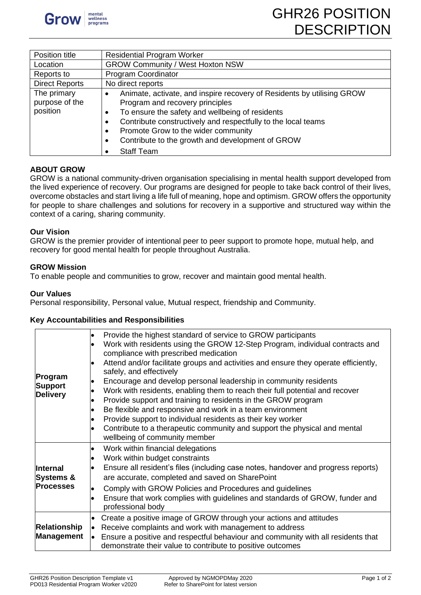

| Position title                            | <b>Residential Program Worker</b>                                                                                                                                                                                                                                                                                                                          |  |  |
|-------------------------------------------|------------------------------------------------------------------------------------------------------------------------------------------------------------------------------------------------------------------------------------------------------------------------------------------------------------------------------------------------------------|--|--|
| Location                                  | <b>GROW Community / West Hoxton NSW</b>                                                                                                                                                                                                                                                                                                                    |  |  |
| Reports to                                | Program Coordinator                                                                                                                                                                                                                                                                                                                                        |  |  |
| <b>Direct Reports</b>                     | No direct reports                                                                                                                                                                                                                                                                                                                                          |  |  |
| The primary<br>purpose of the<br>position | Animate, activate, and inspire recovery of Residents by utilising GROW<br>Program and recovery principles<br>To ensure the safety and wellbeing of residents<br>$\bullet$<br>Contribute constructively and respectfully to the local teams<br>Promote Grow to the wider community<br>Contribute to the growth and development of GROW<br><b>Staff Team</b> |  |  |

# **ABOUT GROW**

GROW is a national community-driven organisation specialising in mental health support developed from the lived experience of recovery. Our programs are designed for people to take back control of their lives, overcome obstacles and start living a life full of meaning, hope and optimism. GROW offers the opportunity for people to share challenges and solutions for recovery in a supportive and structured way within the context of a caring, sharing community.

### **Our Vision**

GROW is the premier provider of intentional peer to peer support to promote hope, mutual help, and recovery for good mental health for people throughout Australia.

### **GROW Mission**

To enable people and communities to grow, recover and maintain good mental health.

#### **Our Values**

Personal responsibility, Personal value, Mutual respect, friendship and Community.

### **Key Accountabilities and Responsibilities**

| Program<br><b>Support</b><br><b>Delivery</b>         | Provide the highest standard of service to GROW participants<br>$\bullet$<br>Work with residents using the GROW 12-Step Program, individual contracts and<br>compliance with prescribed medication<br>Attend and/or facilitate groups and activities and ensure they operate efficiently,<br>safely, and effectively<br>Encourage and develop personal leadership in community residents<br>Work with residents, enabling them to reach their full potential and recover<br>Provide support and training to residents in the GROW program<br>Be flexible and responsive and work in a team environment<br>Provide support to individual residents as their key worker<br>Contribute to a therapeutic community and support the physical and mental<br>$\bullet$<br>wellbeing of community member |
|------------------------------------------------------|--------------------------------------------------------------------------------------------------------------------------------------------------------------------------------------------------------------------------------------------------------------------------------------------------------------------------------------------------------------------------------------------------------------------------------------------------------------------------------------------------------------------------------------------------------------------------------------------------------------------------------------------------------------------------------------------------------------------------------------------------------------------------------------------------|
| Internal<br><b>Systems &amp;</b><br><b>Processes</b> | Work within financial delegations<br>Work within budget constraints<br>Ensure all resident's files (including case notes, handover and progress reports)<br>are accurate, completed and saved on SharePoint<br>Comply with GROW Policies and Procedures and guidelines<br>$\bullet$<br>Ensure that work complies with guidelines and standards of GROW, funder and<br>professional body                                                                                                                                                                                                                                                                                                                                                                                                          |
| <b>Relationship</b><br><b>Management</b>             | Create a positive image of GROW through your actions and attitudes<br>$\bullet$<br>Receive complaints and work with management to address<br>$\bullet$<br>Ensure a positive and respectful behaviour and community with all residents that<br>l.<br>demonstrate their value to contribute to positive outcomes                                                                                                                                                                                                                                                                                                                                                                                                                                                                                   |